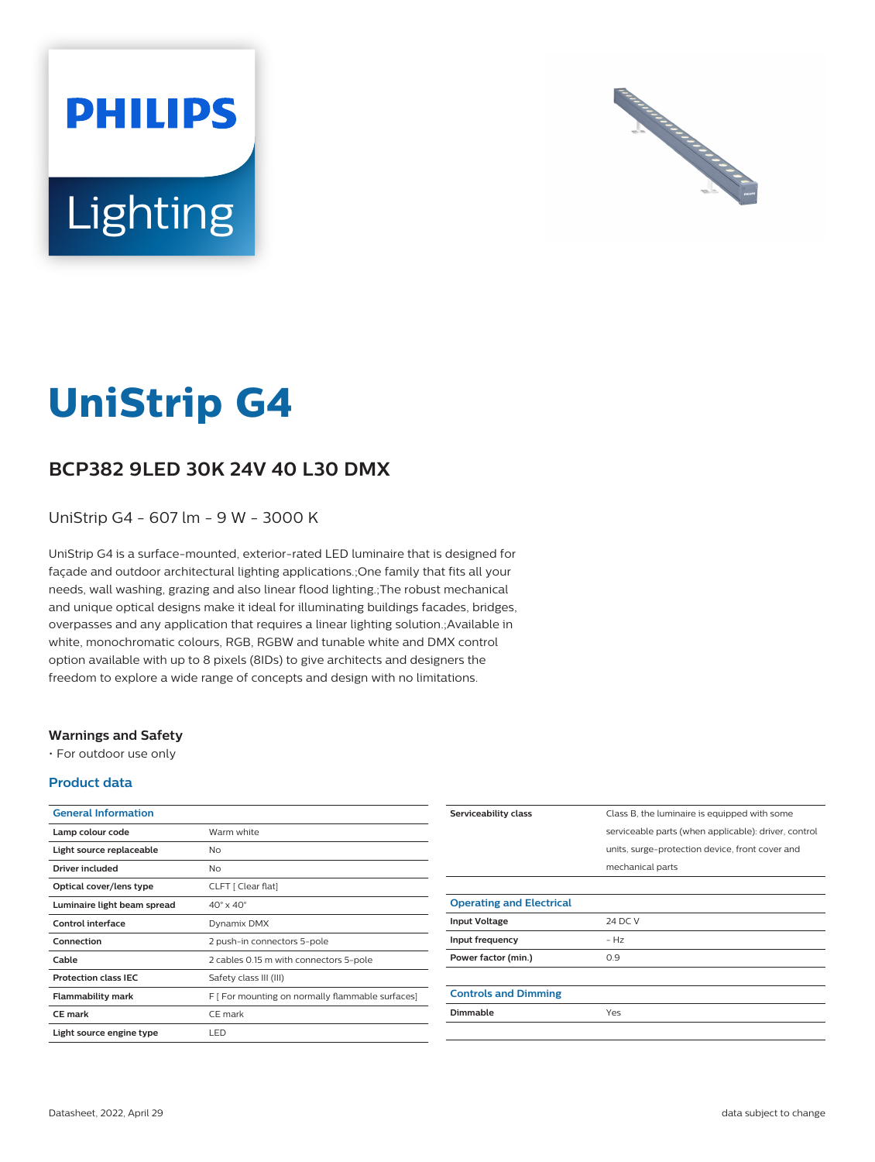



# **UniStrip G4**

## **BCP382 9LED 30K 24V 40 L30 DMX**

UniStrip G4 - 607 lm - 9 W - 3000 K

UniStrip G4 is a surface-mounted, exterior-rated LED luminaire that is designed for façade and outdoor architectural lighting applications.;One family that fits all your needs, wall washing, grazing and also linear flood lighting.;The robust mechanical and unique optical designs make it ideal for illuminating buildings facades, bridges, overpasses and any application that requires a linear lighting solution.;Available in white, monochromatic colours, RGB, RGBW and tunable white and DMX control option available with up to 8 pixels (8IDs) to give architects and designers the freedom to explore a wide range of concepts and design with no limitations.

### **Warnings and Safety**

• For outdoor use only

### **Product data**

| <b>General Information</b>  |                                                  |
|-----------------------------|--------------------------------------------------|
| Lamp colour code            | Warm white                                       |
| Light source replaceable    | No                                               |
| Driver included             | N <sub>o</sub>                                   |
| Optical cover/lens type     | CLFT [ Clear flat]                               |
| Luminaire light beam spread | $40^\circ \times 40^\circ$                       |
| Control interface           | Dynamix DMX                                      |
| Connection                  | 2 push-in connectors 5-pole                      |
| Cable                       | 2 cables 0.15 m with connectors 5-pole           |
| <b>Protection class IEC</b> | Safety class III (III)                           |
| <b>Flammability mark</b>    | F [ For mounting on normally flammable surfaces] |
| <b>CE</b> mark              | CE mark                                          |
| Light source engine type    | LED                                              |

| Serviceability class            | Class B, the luminaire is equipped with some         |
|---------------------------------|------------------------------------------------------|
|                                 | serviceable parts (when applicable): driver, control |
|                                 | units, surge-protection device, front cover and      |
|                                 | mechanical parts                                     |
|                                 |                                                      |
| <b>Operating and Electrical</b> |                                                      |
| <b>Input Voltage</b>            | 24 DC V                                              |
| Input frequency                 | $- Hz$                                               |
| Power factor (min.)             | 0.9                                                  |
|                                 |                                                      |
| <b>Controls and Dimming</b>     |                                                      |
| Dimmable                        | Yes                                                  |
|                                 |                                                      |